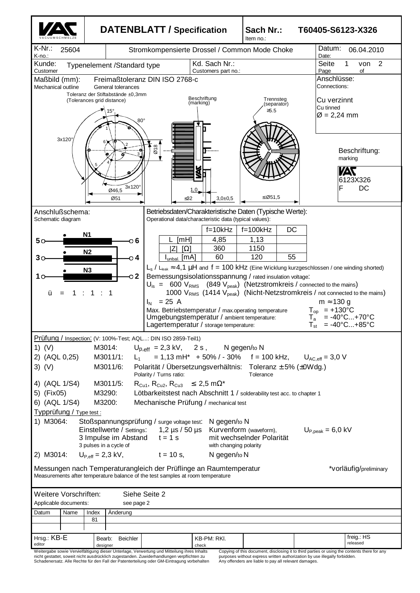|                                                                                                                                                                                                                                                                                                                                                                                                                                                                                                                                                                                                                                                                                                                                                                                                                                                                                                                                                                                                                                               |                                                                                                            | <b>DATENBLATT / Specification</b>                       |                               | Sach Nr.:<br>Item no.:             |  | T60405-S6123-X326                                                                                                                                                                                    |  |  |
|-----------------------------------------------------------------------------------------------------------------------------------------------------------------------------------------------------------------------------------------------------------------------------------------------------------------------------------------------------------------------------------------------------------------------------------------------------------------------------------------------------------------------------------------------------------------------------------------------------------------------------------------------------------------------------------------------------------------------------------------------------------------------------------------------------------------------------------------------------------------------------------------------------------------------------------------------------------------------------------------------------------------------------------------------|------------------------------------------------------------------------------------------------------------|---------------------------------------------------------|-------------------------------|------------------------------------|--|------------------------------------------------------------------------------------------------------------------------------------------------------------------------------------------------------|--|--|
| $K-Nr$ .:<br>25604<br>K-no.:                                                                                                                                                                                                                                                                                                                                                                                                                                                                                                                                                                                                                                                                                                                                                                                                                                                                                                                                                                                                                  |                                                                                                            | Stromkompensierte Drossel / Common Mode Choke           | Datum:<br>06.04.2010<br>Date: |                                    |  |                                                                                                                                                                                                      |  |  |
| Kunde:<br>Kd. Sach Nr.:<br>Typenelement /Standard type<br>Customer<br>Customers part no.:                                                                                                                                                                                                                                                                                                                                                                                                                                                                                                                                                                                                                                                                                                                                                                                                                                                                                                                                                     |                                                                                                            |                                                         |                               |                                    |  | Seite<br>2<br>1<br>von<br>Page<br>of                                                                                                                                                                 |  |  |
| Maßbild (mm):<br>Mechanical outline                                                                                                                                                                                                                                                                                                                                                                                                                                                                                                                                                                                                                                                                                                                                                                                                                                                                                                                                                                                                           | General tolerances<br>Toleranz der Stiftabstände ±0.3mm<br>(Tolerances grid distance)<br>l5°<br>$80^\circ$ | Freimaßtoleranz DIN ISO 2768-c                          | Beschriftung<br>(marking)     | Trennsteg<br>(separator)<br>$≥5.5$ |  | Anschlüsse:<br>Connections:<br>Cu verzinnt<br>Cu tinned<br>$\varnothing$ = 2,24 mm                                                                                                                   |  |  |
| 3x120°                                                                                                                                                                                                                                                                                                                                                                                                                                                                                                                                                                                                                                                                                                                                                                                                                                                                                                                                                                                                                                        | 3x120°<br>Ø46,5<br>Ø51                                                                                     | $\overline{\omega}$ 18<br>1.0<br>≤32                    | X<br>$3,0{\pm}0,5$            | £ $Ø51,5$                          |  | Beschriftung:<br>marking<br>ИV<br>6123X326<br>F<br>DC                                                                                                                                                |  |  |
| Anschlußschema:                                                                                                                                                                                                                                                                                                                                                                                                                                                                                                                                                                                                                                                                                                                                                                                                                                                                                                                                                                                                                               |                                                                                                            | Betriebsdaten/Charakteristische Daten (Typische Werte): |                               |                                    |  |                                                                                                                                                                                                      |  |  |
| Operational data/characteristic data (typical values):<br>Schematic diagram<br>$f = 10kHz$<br>$f=100kHz$<br>DC<br>N <sub>1</sub><br>4,85<br>1,13<br>[MH]<br>50<br>் 6<br>360<br>1150<br>$\Omega$<br>ΙZΙ<br>N <sub>2</sub><br>120<br>60<br>55<br>[mA]<br>o 4<br>I <sub>unbal</sub><br>$L_s$ / $L_{\text{leak}} \approx 4.1$ $\mu$ H and f = 100 kHz (Eine Wicklung kurzgeschlossen / one winding shorted)<br>N3<br>Bemessungsisolationsspannung / rated insulation voltage:<br>$\sim$ 2<br>10<br>$U_{\rm is}$ = 600 $V_{\rm RMS}$ (849 $V_{\rm peak}$ ) (Netzstromkreis / connected to the mains)<br>1000 $V_{RMS}$ (1414 $V_{peak}$ ) (Nicht-Netzstromkreis / not connected to the mains)<br>1<br>ü<br>1<br>$I_{N}$ = 25 A<br>$m \approx 130$ g<br>$T_{op}$ = +130°C<br>Max. Betriebstemperatur / max.operating temperature<br>$= -40^{\circ}C+70^{\circ}C$<br>Umgebungstemperatur / ambient temperature:<br>$T_a$<br>$= -40^{\circ}$ C +85 $^{\circ}$ C<br>Lagertemperatur / storage temperature:<br>${\sf T}_{\sf st}$                      |                                                                                                            |                                                         |                               |                                    |  |                                                                                                                                                                                                      |  |  |
| Prüfung / Inspection: (V: 100%-Test; AQL: DIN ISO 2859-Teil1)<br>1) $(V)$<br>M3014:<br>$U_{\text{D,eff}} = 2.3 \text{ kV}, 2 \text{ s}, N$ gegen/to N<br>$= 1,13 \text{ mH}^* + 50\% / - 30\%$ f = 100 kHz, $U_{AC,eff} = 3,0 \text{ V}$<br>2) (AQL 0,25)<br>M3011/1:<br>$L_1$<br>$3)$ (V)<br>Polarität / Übersetzungsverhältnis: Toleranz $\pm$ 5% ( $\pm$ 0Wdg.)<br>M3011/6:<br>Polarity / Turns ratio:<br>Tolerance<br>4) (AQL 1/S4)<br>$R_{Cu1}$ , $R_{Cu2}$ , $R_{Cu3} \leq 2.5$ m $\Omega^*$<br>M3011/5:<br>5) (Fix05)<br>M3290:<br>Lötbarkeitstest nach Abschnitt 1 / solderability test acc. to chapter 1<br>6) (AQL 1/S4)<br>M3200:<br>Mechanische Prüfung / mechanical test<br>Typprüfung / Type test :<br>1) M3064:<br>Stoßspannungsprüfung / surge voltage test:<br>N gegen/to N<br>Einstellwerte / Settings:<br>Kurvenform (waveform),<br>1,2 $\mu$ s / 50 $\mu$ s<br>$U_{\text{P.peak}} = 6.0 \text{ kV}$<br>mit wechselnder Polarität<br>3 Impulse im Abstand<br>$t = 1$ s<br>3 pulses in a cycle of<br>with changing polarity |                                                                                                            |                                                         |                               |                                    |  |                                                                                                                                                                                                      |  |  |
| 2) M3014:<br>Messungen nach Temperaturangleich der Prüflinge an Raumtemperatur<br>Measurements after temperature balance of the test samples at room temperature                                                                                                                                                                                                                                                                                                                                                                                                                                                                                                                                                                                                                                                                                                                                                                                                                                                                              | $U_{P,eff} = 2.3$ kV,                                                                                      | $t = 10$ s,                                             | N gegen/to N                  |                                    |  | *vorläufig/preliminary                                                                                                                                                                               |  |  |
| Weitere Vorschriften:<br>Siehe Seite 2<br>Applicable documents:<br>see page 2                                                                                                                                                                                                                                                                                                                                                                                                                                                                                                                                                                                                                                                                                                                                                                                                                                                                                                                                                                 |                                                                                                            |                                                         |                               |                                    |  |                                                                                                                                                                                                      |  |  |
| Datum<br>Name                                                                                                                                                                                                                                                                                                                                                                                                                                                                                                                                                                                                                                                                                                                                                                                                                                                                                                                                                                                                                                 | Änderung<br>Index<br>81                                                                                    |                                                         |                               |                                    |  |                                                                                                                                                                                                      |  |  |
|                                                                                                                                                                                                                                                                                                                                                                                                                                                                                                                                                                                                                                                                                                                                                                                                                                                                                                                                                                                                                                               |                                                                                                            |                                                         |                               |                                    |  |                                                                                                                                                                                                      |  |  |
| Hrsg.: KB-E<br>editor<br>Weitergabe sowie Vervielfältigung dieser Unterlage, Verwertung und Mitteilung ihres Inhalts<br>nicht gestattet, soweit nicht ausdrücklich zugestanden. Zuwiderhandlungen verpflichten zu                                                                                                                                                                                                                                                                                                                                                                                                                                                                                                                                                                                                                                                                                                                                                                                                                             | <b>Beichler</b><br>Bearb:<br>designer                                                                      |                                                         | KB-PM: RKI.<br>check          |                                    |  | freig.: HS<br>released<br>Copying of this document, disclosing it to third parties or using the contents there for any<br>purposes without express written authorization by use illegally forbidden. |  |  |

nicht gestattet, soweit nicht ausdrücklich zugestanden. Zuwiderhandlungen verpflichten zu purposes without express written authorization by use illegally forbidden.<br>Schadenersatz. Alle Rechte für den Fall der Patenterteilu